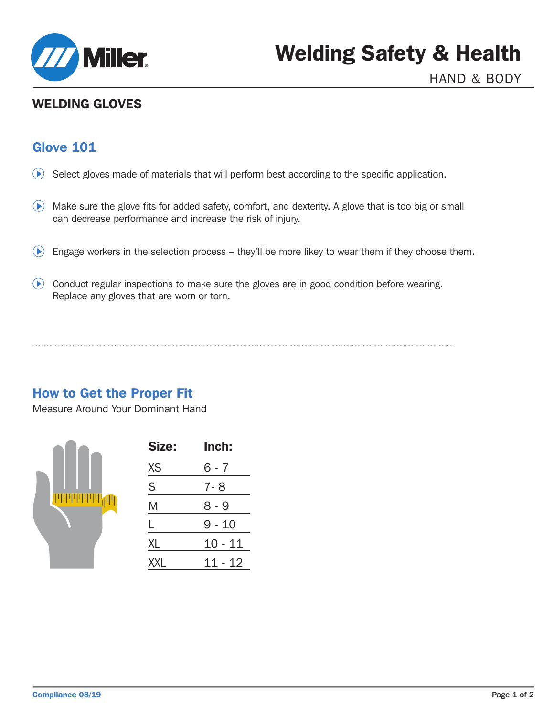

# WELDING GLOVES

## Glove 101

- $\odot$  Select gloves made of materials that will perform best according to the specific application.
- Make sure the glove fits for added safety, comfort, and dexterity. A glove that is too big or small can decrease performance and increase the risk of injury.
- $\bullet$  Engage workers in the selection process they'll be more likey to wear them if they choose them.
- Conduct regular inspections to make sure the gloves are in good condition before wearing. Replace any gloves that are worn or torn.

## How to Get the Proper Fit

Measure Around Your Dominant Hand



| Size:      | Inch:   |  |  |
|------------|---------|--|--|
| XS         | 6 - 7   |  |  |
| S          | 7- 8    |  |  |
| M          | 8 - 9   |  |  |
| L          | 9 - 10  |  |  |
| XL         | 10 - 11 |  |  |
| <b>XXL</b> | 11 - 12 |  |  |